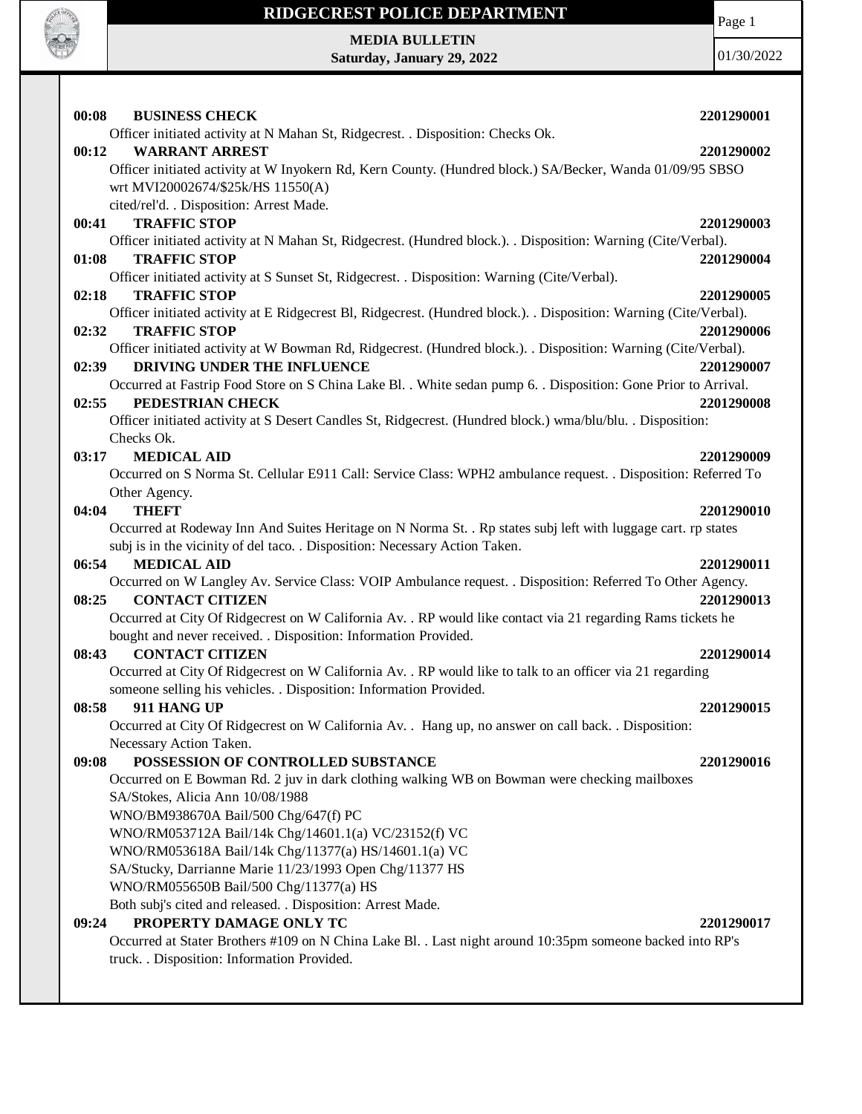

Page 1

**MEDIA BULLETIN Saturday, January 29, 2022**

| 00:08<br><b>BUSINESS CHECK</b>                                                                                   | 2201290001 |
|------------------------------------------------------------------------------------------------------------------|------------|
| Officer initiated activity at N Mahan St, Ridgecrest. . Disposition: Checks Ok.                                  |            |
| 00:12<br><b>WARRANT ARREST</b>                                                                                   | 2201290002 |
| Officer initiated activity at W Inyokern Rd, Kern County. (Hundred block.) SA/Becker, Wanda 01/09/95 SBSO        |            |
| wrt MVI20002674/\$25k/HS 11550(A)                                                                                |            |
| cited/rel'd. . Disposition: Arrest Made.                                                                         |            |
| <b>TRAFFIC STOP</b><br>00:41                                                                                     | 2201290003 |
| Officer initiated activity at N Mahan St, Ridgecrest. (Hundred block.). . Disposition: Warning (Cite/Verbal).    |            |
| <b>TRAFFIC STOP</b><br>01:08                                                                                     | 2201290004 |
| Officer initiated activity at S Sunset St, Ridgecrest. . Disposition: Warning (Cite/Verbal).                     |            |
| <b>TRAFFIC STOP</b><br>02:18                                                                                     | 2201290005 |
| Officer initiated activity at E Ridgecrest Bl, Ridgecrest. (Hundred block.). Disposition: Warning (Cite/Verbal). |            |
| <b>TRAFFIC STOP</b><br>02:32                                                                                     | 2201290006 |
| Officer initiated activity at W Bowman Rd, Ridgecrest. (Hundred block.). . Disposition: Warning (Cite/Verbal).   |            |
| DRIVING UNDER THE INFLUENCE<br>02:39                                                                             | 2201290007 |
| Occurred at Fastrip Food Store on S China Lake Bl. . White sedan pump 6. . Disposition: Gone Prior to Arrival.   |            |
| PEDESTRIAN CHECK<br>02:55                                                                                        | 2201290008 |
| Officer initiated activity at S Desert Candles St, Ridgecrest. (Hundred block.) wma/blu/blu. . Disposition:      |            |
| Checks Ok.                                                                                                       |            |
| <b>MEDICAL AID</b><br>03:17                                                                                      | 2201290009 |
| Occurred on S Norma St. Cellular E911 Call: Service Class: WPH2 ambulance request. . Disposition: Referred To    |            |
| Other Agency.                                                                                                    |            |
| 04:04<br><b>THEFT</b>                                                                                            | 2201290010 |
| Occurred at Rodeway Inn And Suites Heritage on N Norma St. . Rp states subj left with luggage cart. rp states    |            |
| subj is in the vicinity of del taco. . Disposition: Necessary Action Taken.                                      |            |
| <b>MEDICAL AID</b><br>06:54                                                                                      | 2201290011 |
| Occurred on W Langley Av. Service Class: VOIP Ambulance request. . Disposition: Referred To Other Agency.        |            |
| <b>CONTACT CITIZEN</b><br>08:25                                                                                  | 2201290013 |
| Occurred at City Of Ridgecrest on W California Av. . RP would like contact via 21 regarding Rams tickets he      |            |
| bought and never received. . Disposition: Information Provided.                                                  |            |
| <b>CONTACT CITIZEN</b><br>08:43                                                                                  | 2201290014 |
| Occurred at City Of Ridgecrest on W California Av. . RP would like to talk to an officer via 21 regarding        |            |
| someone selling his vehicles. . Disposition: Information Provided.                                               |            |
| 08:58<br>911 HANG UP                                                                                             | 2201290015 |
| Occurred at City Of Ridgecrest on W California Av. . Hang up, no answer on call back. . Disposition:             |            |
| Necessary Action Taken.                                                                                          |            |
| POSSESSION OF CONTROLLED SUBSTANCE<br>09:08                                                                      | 2201290016 |
| Occurred on E Bowman Rd. 2 juv in dark clothing walking WB on Bowman were checking mailboxes                     |            |
| SA/Stokes, Alicia Ann 10/08/1988                                                                                 |            |
| WNO/BM938670A Bail/500 Chg/647(f) PC                                                                             |            |
| WNO/RM053712A Bail/14k Chg/14601.1(a) VC/23152(f) VC                                                             |            |
| WNO/RM053618A Bail/14k Chg/11377(a) HS/14601.1(a) VC                                                             |            |
| SA/Stucky, Darrianne Marie 11/23/1993 Open Chg/11377 HS                                                          |            |
| WNO/RM055650B Bail/500 Chg/11377(a) HS                                                                           |            |
| Both subj's cited and released. . Disposition: Arrest Made.                                                      |            |
| PROPERTY DAMAGE ONLY TC<br>09:24                                                                                 | 2201290017 |
| Occurred at Stater Brothers #109 on N China Lake Bl. . Last night around 10:35pm someone backed into RP's        |            |
| truck. . Disposition: Information Provided.                                                                      |            |
|                                                                                                                  |            |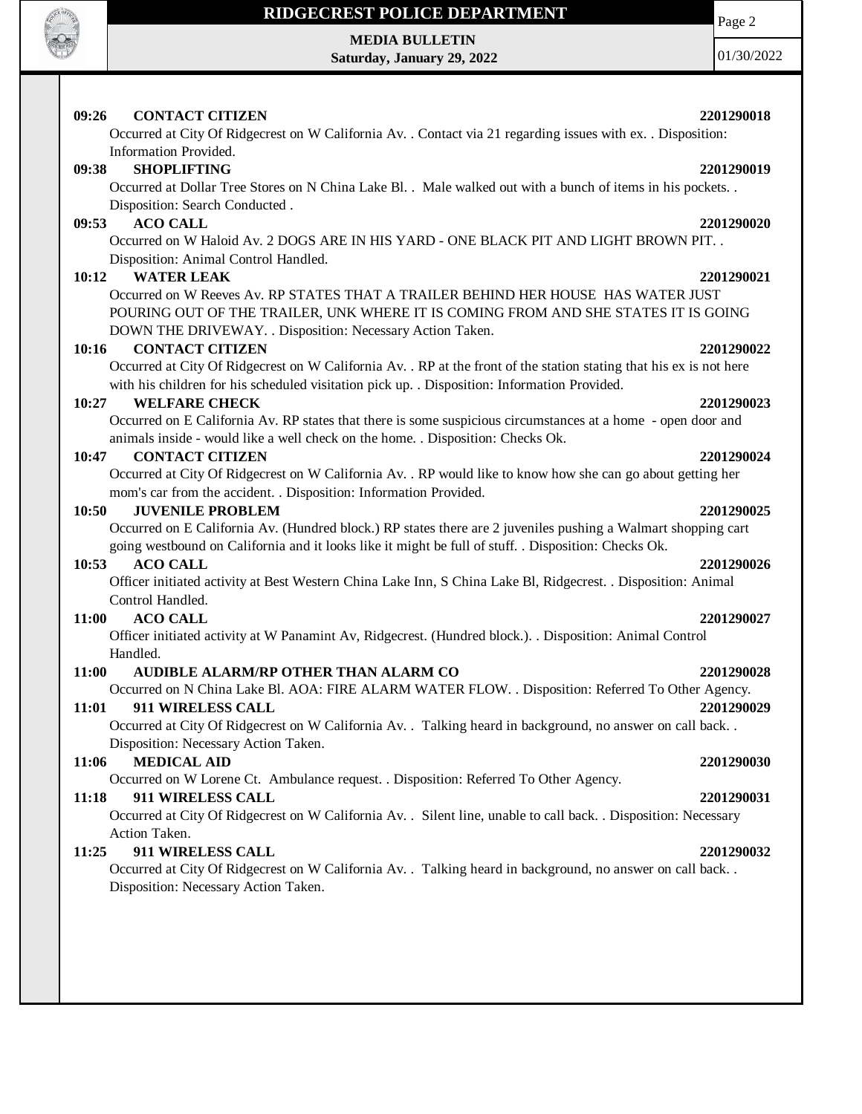

## **MEDIA BULLETIN**

**Saturday, January 29, 2022**

Page 2

01/30/2022

### **09:26 CONTACT CITIZEN 2201290018**

Occurred at City Of Ridgecrest on W California Av. . Contact via 21 regarding issues with ex. . Disposition: Information Provided.

### **09:38 SHOPLIFTING 2201290019**

Occurred at Dollar Tree Stores on N China Lake Bl. . Male walked out with a bunch of items in his pockets. . Disposition: Search Conducted .

### **09:53 ACO CALL 2201290020**

Occurred on W Haloid Av. 2 DOGS ARE IN HIS YARD - ONE BLACK PIT AND LIGHT BROWN PIT. . Disposition: Animal Control Handled.

### **10:12 WATER LEAK 2201290021**

Occurred on W Reeves Av. RP STATES THAT A TRAILER BEHIND HER HOUSE HAS WATER JUST POURING OUT OF THE TRAILER, UNK WHERE IT IS COMING FROM AND SHE STATES IT IS GOING DOWN THE DRIVEWAY. . Disposition: Necessary Action Taken.

### **10:16 CONTACT CITIZEN 2201290022**

Occurred at City Of Ridgecrest on W California Av. . RP at the front of the station stating that his ex is not here with his children for his scheduled visitation pick up. . Disposition: Information Provided.

### **10:27 WELFARE CHECK 2201290023**

Occurred on E California Av. RP states that there is some suspicious circumstances at a home - open door and animals inside - would like a well check on the home. . Disposition: Checks Ok.

### **10:47 CONTACT CITIZEN 2201290024**

Occurred at City Of Ridgecrest on W California Av. . RP would like to know how she can go about getting her mom's car from the accident. . Disposition: Information Provided.

### **10:50 JUVENILE PROBLEM 2201290025**

Occurred on E California Av. (Hundred block.) RP states there are 2 juveniles pushing a Walmart shopping cart going westbound on California and it looks like it might be full of stuff. . Disposition: Checks Ok.

### **10:53 ACO CALL 2201290026**

Officer initiated activity at Best Western China Lake Inn, S China Lake Bl, Ridgecrest. . Disposition: Animal Control Handled.

### **11:00 ACO CALL 2201290027**

Officer initiated activity at W Panamint Av, Ridgecrest. (Hundred block.). . Disposition: Animal Control Handled.

### **11:00 AUDIBLE ALARM/RP OTHER THAN ALARM CO 2201290028**

Occurred on N China Lake Bl. AOA: FIRE ALARM WATER FLOW. . Disposition: Referred To Other Agency. **11:01 911 WIRELESS CALL 2201290029**

Occurred at City Of Ridgecrest on W California Av. . Talking heard in background, no answer on call back. . Disposition: Necessary Action Taken.

### **11:06 MEDICAL AID 2201290030**

Occurred on W Lorene Ct. Ambulance request. . Disposition: Referred To Other Agency.

### **11:18 911 WIRELESS CALL 2201290031**

Occurred at City Of Ridgecrest on W California Av. . Silent line, unable to call back. . Disposition: Necessary Action Taken.

### **11:25 911 WIRELESS CALL 2201290032**

Occurred at City Of Ridgecrest on W California Av. . Talking heard in background, no answer on call back. . Disposition: Necessary Action Taken.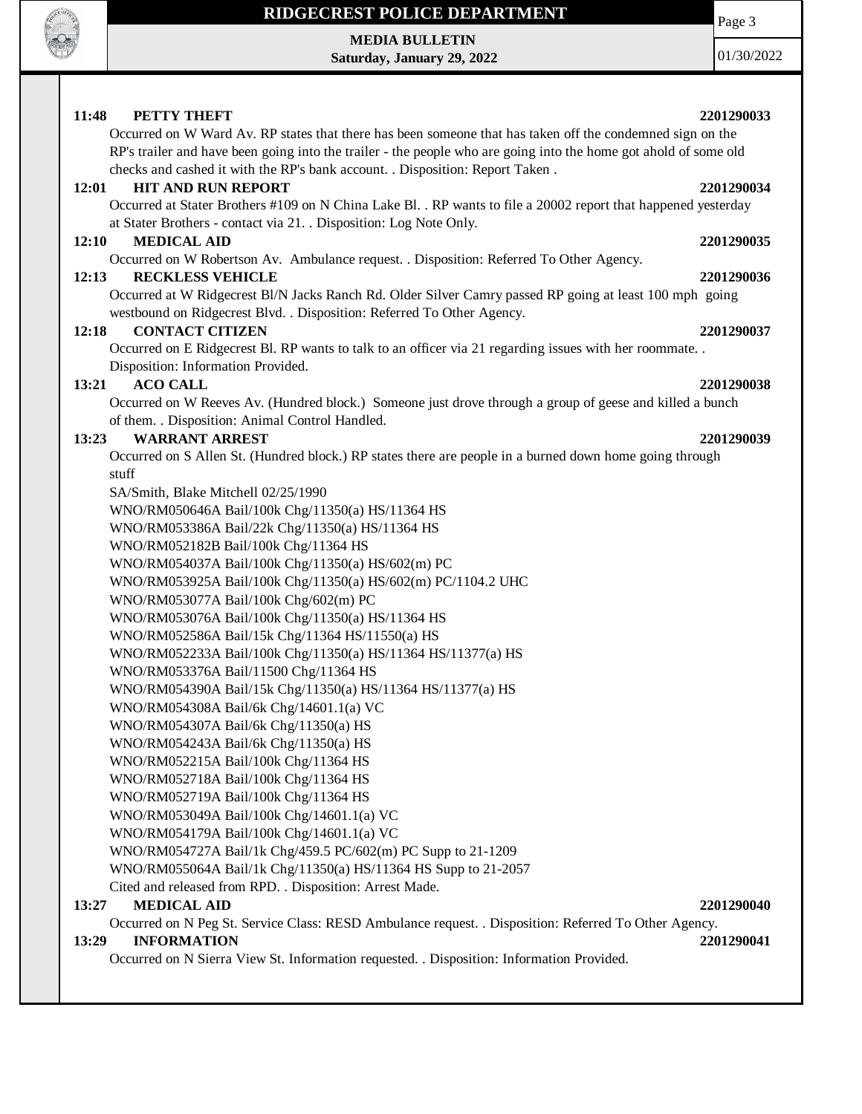

**MEDIA BULLETIN Saturday, January 29, 2022** Page 3

01/30/2022

### **11:48 PETTY THEFT 2201290033** Occurred on W Ward Av. RP states that there has been someone that has taken off the condemned sign on the RP's trailer and have been going into the trailer - the people who are going into the home got ahold of some old checks and cashed it with the RP's bank account. . Disposition: Report Taken . **12:01 HIT AND RUN REPORT 2201290034** Occurred at Stater Brothers #109 on N China Lake Bl. . RP wants to file a 20002 report that happened yesterday at Stater Brothers - contact via 21. . Disposition: Log Note Only. **12:10 MEDICAL AID 2201290035** Occurred on W Robertson Av. Ambulance request. . Disposition: Referred To Other Agency. **12:13 RECKLESS VEHICLE 2201290036** Occurred at W Ridgecrest Bl/N Jacks Ranch Rd. Older Silver Camry passed RP going at least 100 mph going westbound on Ridgecrest Blvd. . Disposition: Referred To Other Agency. **12:18 CONTACT CITIZEN 2201290037** Occurred on E Ridgecrest Bl. RP wants to talk to an officer via 21 regarding issues with her roommate. . Disposition: Information Provided. **13:21 ACO CALL 2201290038** Occurred on W Reeves Av. (Hundred block.) Someone just drove through a group of geese and killed a bunch of them. . Disposition: Animal Control Handled. **13:23 WARRANT ARREST 2201290039** Occurred on S Allen St. (Hundred block.) RP states there are people in a burned down home going through stuff SA/Smith, Blake Mitchell 02/25/1990 WNO/RM050646A Bail/100k Chg/11350(a) HS/11364 HS WNO/RM053386A Bail/22k Chg/11350(a) HS/11364 HS WNO/RM052182B Bail/100k Chg/11364 HS WNO/RM054037A Bail/100k Chg/11350(a) HS/602(m) PC WNO/RM053925A Bail/100k Chg/11350(a) HS/602(m) PC/1104.2 UHC WNO/RM053077A Bail/100k Chg/602(m) PC WNO/RM053076A Bail/100k Chg/11350(a) HS/11364 HS WNO/RM052586A Bail/15k Chg/11364 HS/11550(a) HS WNO/RM052233A Bail/100k Chg/11350(a) HS/11364 HS/11377(a) HS WNO/RM053376A Bail/11500 Chg/11364 HS WNO/RM054390A Bail/15k Chg/11350(a) HS/11364 HS/11377(a) HS WNO/RM054308A Bail/6k Chg/14601.1(a) VC WNO/RM054307A Bail/6k Chg/11350(a) HS WNO/RM054243A Bail/6k Chg/11350(a) HS WNO/RM052215A Bail/100k Chg/11364 HS WNO/RM052718A Bail/100k Chg/11364 HS WNO/RM052719A Bail/100k Chg/11364 HS WNO/RM053049A Bail/100k Chg/14601.1(a) VC WNO/RM054179A Bail/100k Chg/14601.1(a) VC WNO/RM054727A Bail/1k Chg/459.5 PC/602(m) PC Supp to 21-1209 WNO/RM055064A Bail/1k Chg/11350(a) HS/11364 HS Supp to 21-2057 Cited and released from RPD. . Disposition: Arrest Made. **13:27 MEDICAL AID 2201290040** Occurred on N Peg St. Service Class: RESD Ambulance request. . Disposition: Referred To Other Agency. **13:29 INFORMATION 2201290041** Occurred on N Sierra View St. Information requested. . Disposition: Information Provided.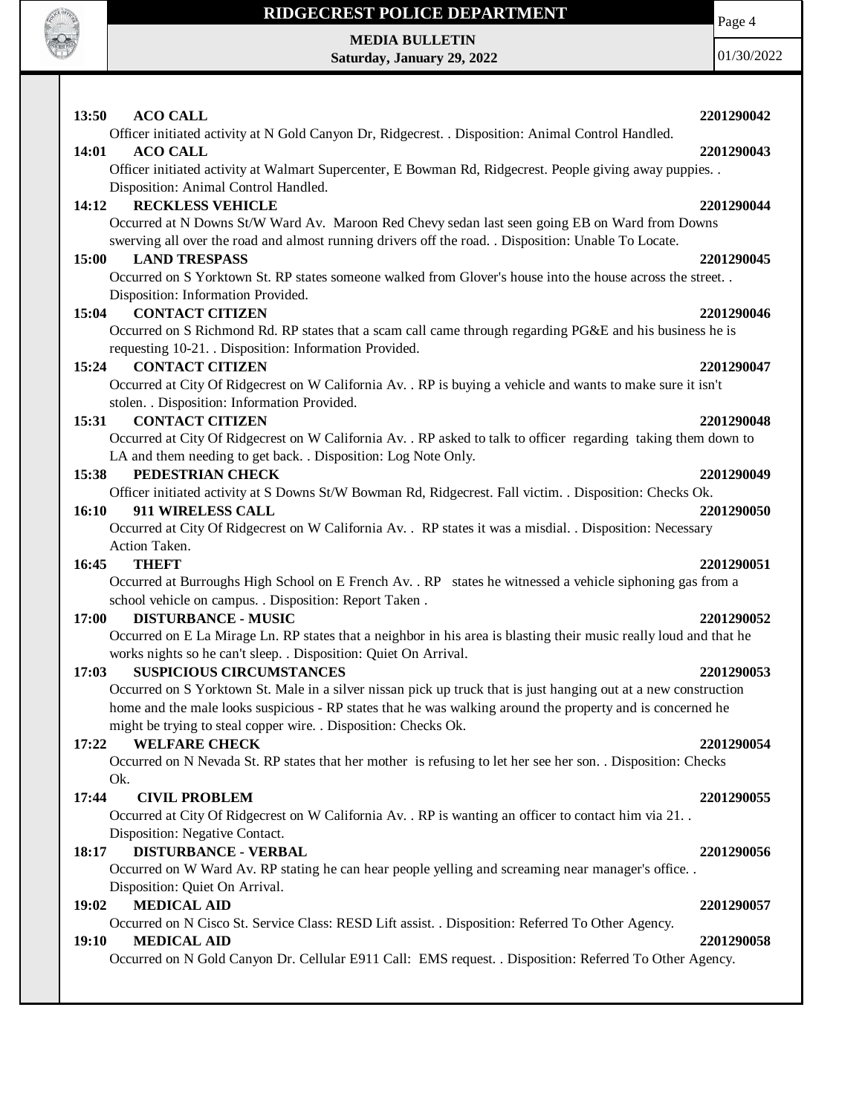

**MEDIA BULLETIN Saturday, January 29, 2022** Page 4

| 13:50<br><b>ACO CALL</b>                                                                                                               | 2201290042 |
|----------------------------------------------------------------------------------------------------------------------------------------|------------|
| Officer initiated activity at N Gold Canyon Dr, Ridgecrest. . Disposition: Animal Control Handled.                                     |            |
| <b>ACO CALL</b><br>14:01                                                                                                               | 2201290043 |
| Officer initiated activity at Walmart Supercenter, E Bowman Rd, Ridgecrest. People giving away puppies                                 |            |
| Disposition: Animal Control Handled.<br><b>RECKLESS VEHICLE</b><br>14:12                                                               | 2201290044 |
| Occurred at N Downs St/W Ward Av. Maroon Red Chevy sedan last seen going EB on Ward from Downs                                         |            |
| swerving all over the road and almost running drivers off the road. . Disposition: Unable To Locate.                                   |            |
| <b>LAND TRESPASS</b><br>15:00                                                                                                          | 2201290045 |
| Occurred on S Yorktown St. RP states someone walked from Glover's house into the house across the street                               |            |
| Disposition: Information Provided.                                                                                                     |            |
| <b>CONTACT CITIZEN</b><br>15:04                                                                                                        | 2201290046 |
| Occurred on S Richmond Rd. RP states that a scam call came through regarding PG&E and his business he is                               |            |
| requesting 10-21. Disposition: Information Provided.                                                                                   |            |
| 15:24<br><b>CONTACT CITIZEN</b>                                                                                                        | 2201290047 |
| Occurred at City Of Ridgecrest on W California Av. . RP is buying a vehicle and wants to make sure it isn't                            |            |
| stolen. . Disposition: Information Provided.                                                                                           |            |
| <b>CONTACT CITIZEN</b><br>15:31                                                                                                        | 2201290048 |
| Occurred at City Of Ridgecrest on W California Av. . RP asked to talk to officer regarding taking them down to                         |            |
| LA and them needing to get back. . Disposition: Log Note Only.                                                                         |            |
| PEDESTRIAN CHECK<br>15:38                                                                                                              | 2201290049 |
| Officer initiated activity at S Downs St/W Bowman Rd, Ridgecrest. Fall victim. . Disposition: Checks Ok.<br>911 WIRELESS CALL<br>16:10 | 2201290050 |
| Occurred at City Of Ridgecrest on W California Av. . RP states it was a misdial. . Disposition: Necessary                              |            |
| Action Taken.                                                                                                                          |            |
| 16:45<br><b>THEFT</b>                                                                                                                  | 2201290051 |
| Occurred at Burroughs High School on E French Av. . RP states he witnessed a vehicle siphoning gas from a                              |            |
| school vehicle on campus. . Disposition: Report Taken.                                                                                 |            |
| 17:00<br><b>DISTURBANCE - MUSIC</b>                                                                                                    | 2201290052 |
| Occurred on E La Mirage Ln. RP states that a neighbor in his area is blasting their music really loud and that he                      |            |
| works nights so he can't sleep. . Disposition: Quiet On Arrival.                                                                       |            |
| <b>SUSPICIOUS CIRCUMSTANCES</b><br>17:03                                                                                               | 2201290053 |
| Occurred on S Yorktown St. Male in a silver nissan pick up truck that is just hanging out at a new construction                        |            |
| home and the male looks suspicious - RP states that he was walking around the property and is concerned he                             |            |
| might be trying to steal copper wire. . Disposition: Checks Ok.                                                                        |            |
| <b>WELFARE CHECK</b><br>17:22                                                                                                          | 2201290054 |
| Occurred on N Nevada St. RP states that her mother is refusing to let her see her son. Disposition: Checks                             |            |
| Ok.<br><b>CIVIL PROBLEM</b><br>17:44                                                                                                   | 2201290055 |
| Occurred at City Of Ridgecrest on W California Av. . RP is wanting an officer to contact him via 21. .                                 |            |
| Disposition: Negative Contact.                                                                                                         |            |
| <b>DISTURBANCE - VERBAL</b><br>18:17                                                                                                   | 2201290056 |
| Occurred on W Ward Av. RP stating he can hear people yelling and screaming near manager's office. .                                    |            |
| Disposition: Quiet On Arrival.                                                                                                         |            |
| <b>MEDICAL AID</b><br>19:02                                                                                                            | 2201290057 |
| Occurred on N Cisco St. Service Class: RESD Lift assist. . Disposition: Referred To Other Agency.                                      |            |
| 19:10<br><b>MEDICAL AID</b>                                                                                                            | 2201290058 |
| Occurred on N Gold Canyon Dr. Cellular E911 Call: EMS request. . Disposition: Referred To Other Agency.                                |            |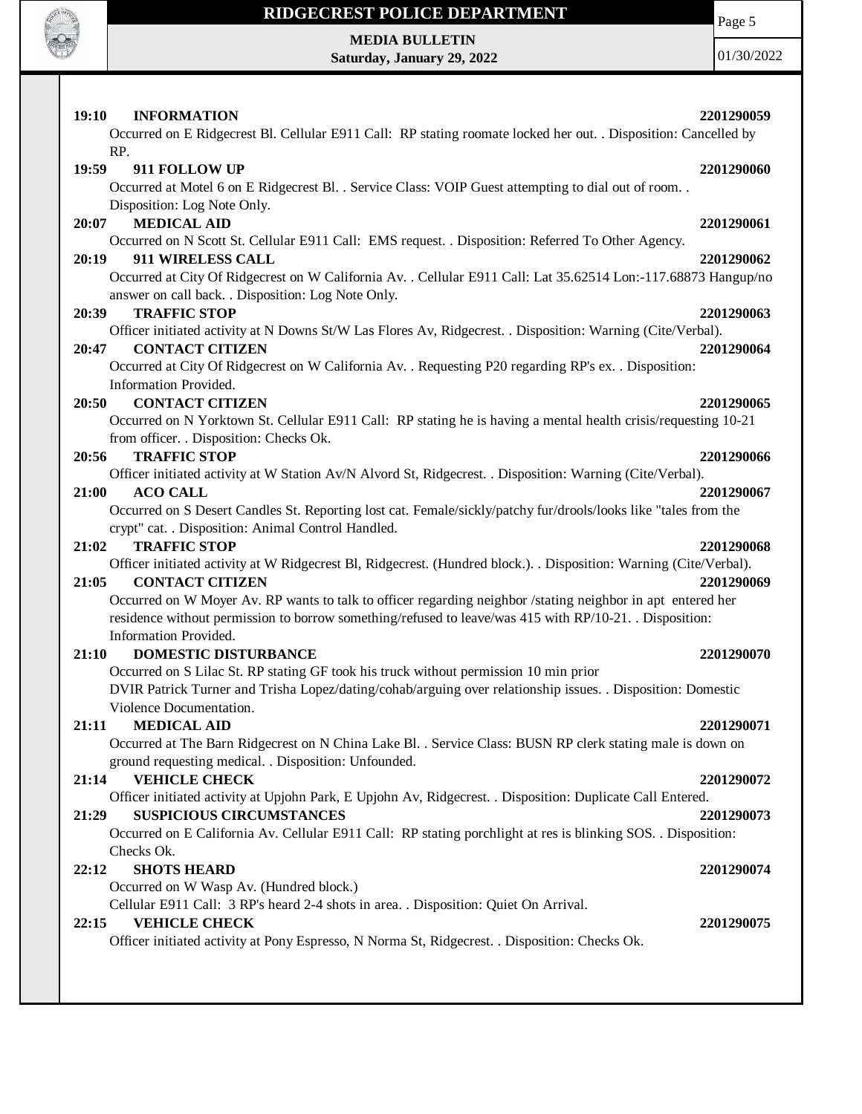

# **RIDGECREST POLICE DEPARTMENT MEDIA BULLETIN**

**Saturday, January 29, 2022**

Page 5

| <b>INFORMATION</b><br>19:10                                                                                             | 2201290059 |
|-------------------------------------------------------------------------------------------------------------------------|------------|
| Occurred on E Ridgecrest Bl. Cellular E911 Call: RP stating roomate locked her out. . Disposition: Cancelled by         |            |
| RP.                                                                                                                     |            |
| 19:59<br>911 FOLLOW UP                                                                                                  | 2201290060 |
| Occurred at Motel 6 on E Ridgecrest Bl. . Service Class: VOIP Guest attempting to dial out of room. .                   |            |
| Disposition: Log Note Only.                                                                                             |            |
| <b>MEDICAL AID</b><br>20:07                                                                                             | 2201290061 |
| Occurred on N Scott St. Cellular E911 Call: EMS request. . Disposition: Referred To Other Agency.<br>911 WIRELESS CALL  | 2201290062 |
| 20:19<br>Occurred at City Of Ridgecrest on W California Av. . Cellular E911 Call: Lat 35.62514 Lon:-117.68873 Hangup/no |            |
|                                                                                                                         |            |
| answer on call back. . Disposition: Log Note Only.<br><b>TRAFFIC STOP</b><br>20:39                                      | 2201290063 |
| Officer initiated activity at N Downs St/W Las Flores Av, Ridgecrest. . Disposition: Warning (Cite/Verbal).             |            |
| <b>CONTACT CITIZEN</b><br>20:47                                                                                         | 2201290064 |
| Occurred at City Of Ridgecrest on W California Av. . Requesting P20 regarding RP's ex. . Disposition:                   |            |
| Information Provided.                                                                                                   |            |
| <b>CONTACT CITIZEN</b><br>20:50                                                                                         | 2201290065 |
| Occurred on N Yorktown St. Cellular E911 Call: RP stating he is having a mental health crisis/requesting 10-21          |            |
| from officer. . Disposition: Checks Ok.                                                                                 |            |
| 20:56<br><b>TRAFFIC STOP</b>                                                                                            | 2201290066 |
| Officer initiated activity at W Station Av/N Alvord St, Ridgecrest. . Disposition: Warning (Cite/Verbal).               |            |
| 21:00<br><b>ACO CALL</b>                                                                                                | 2201290067 |
| Occurred on S Desert Candles St. Reporting lost cat. Female/sickly/patchy fur/drools/looks like "tales from the         |            |
| crypt" cat. . Disposition: Animal Control Handled.                                                                      |            |
| 21:02<br><b>TRAFFIC STOP</b>                                                                                            | 2201290068 |
| Officer initiated activity at W Ridgecrest Bl, Ridgecrest. (Hundred block.). . Disposition: Warning (Cite/Verbal).      |            |
| <b>CONTACT CITIZEN</b><br>21:05                                                                                         | 2201290069 |
| Occurred on W Moyer Av. RP wants to talk to officer regarding neighbor /stating neighbor in apt entered her             |            |
| residence without permission to borrow something/refused to leave/was 415 with RP/10-21. Disposition:                   |            |
| Information Provided.                                                                                                   |            |
| <b>DOMESTIC DISTURBANCE</b><br>21:10                                                                                    | 2201290070 |
| Occurred on S Lilac St. RP stating GF took his truck without permission 10 min prior                                    |            |
| DVIR Patrick Turner and Trisha Lopez/dating/cohab/arguing over relationship issues. . Disposition: Domestic             |            |
| Violence Documentation.                                                                                                 |            |
| 21:11<br><b>MEDICAL AID</b>                                                                                             | 2201290071 |
| Occurred at The Barn Ridgecrest on N China Lake Bl. . Service Class: BUSN RP clerk stating male is down on              |            |
| ground requesting medical. . Disposition: Unfounded.                                                                    |            |
| <b>VEHICLE CHECK</b><br>21:14                                                                                           | 2201290072 |
| Officer initiated activity at Upjohn Park, E Upjohn Av, Ridgecrest. . Disposition: Duplicate Call Entered.              |            |
| <b>SUSPICIOUS CIRCUMSTANCES</b><br>21:29                                                                                | 2201290073 |
| Occurred on E California Av. Cellular E911 Call: RP stating porchlight at res is blinking SOS. . Disposition:           |            |
| Checks Ok.                                                                                                              |            |
| <b>SHOTS HEARD</b><br>22:12                                                                                             | 2201290074 |
| Occurred on W Wasp Av. (Hundred block.)                                                                                 |            |
| Cellular E911 Call: 3 RP's heard 2-4 shots in area. . Disposition: Quiet On Arrival.                                    |            |
| 22:15<br><b>VEHICLE CHECK</b>                                                                                           | 2201290075 |
| Officer initiated activity at Pony Espresso, N Norma St, Ridgecrest. . Disposition: Checks Ok.                          |            |
|                                                                                                                         |            |
|                                                                                                                         |            |
|                                                                                                                         |            |